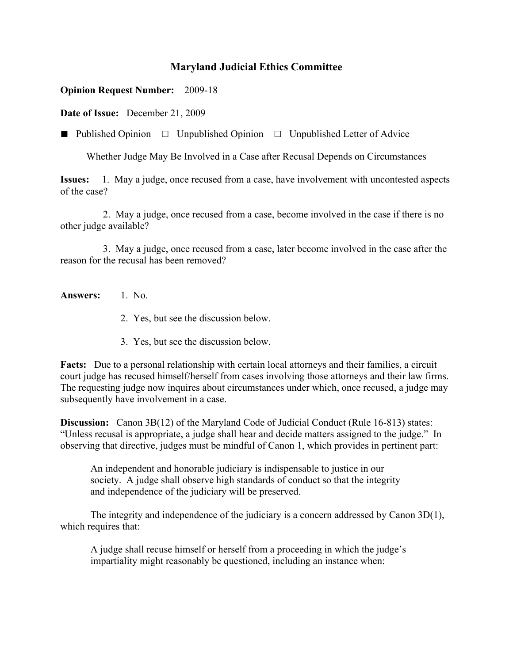## **Maryland Judicial Ethics Committee**

## **Opinion Request Number:** 2009-18

**Date of Issue:** December 21, 2009

**■** Published Opinion □Unpublished Opinion □Unpublished Letter of Advice

Whether Judge May Be Involved in a Case after Recusal Depends on Circumstances

**Issues:** 1. May a judge, once recused from a case, have involvement with uncontested aspects of the case?

 2. May a judge, once recused from a case, become involved in the case if there is no other judge available?

 3. May a judge, once recused from a case, later become involved in the case after the reason for the recusal has been removed?

- **Answers:** 1. No.
	- 2. Yes, but see the discussion below.
	- 3. Yes, but see the discussion below.

**Facts:** Due to a personal relationship with certain local attorneys and their families, a circuit court judge has recused himself/herself from cases involving those attorneys and their law firms. The requesting judge now inquires about circumstances under which, once recused, a judge may subsequently have involvement in a case.

**Discussion:** Canon 3B(12) of the Maryland Code of Judicial Conduct (Rule 16-813) states: "Unless recusal is appropriate, a judge shall hear and decide matters assigned to the judge." In observing that directive, judges must be mindful of Canon 1, which provides in pertinent part:

An independent and honorable judiciary is indispensable to justice in our society. A judge shall observe high standards of conduct so that the integrity and independence of the judiciary will be preserved.

The integrity and independence of the judiciary is a concern addressed by Canon 3D(1), which requires that:

A judge shall recuse himself or herself from a proceeding in which the judge's impartiality might reasonably be questioned, including an instance when: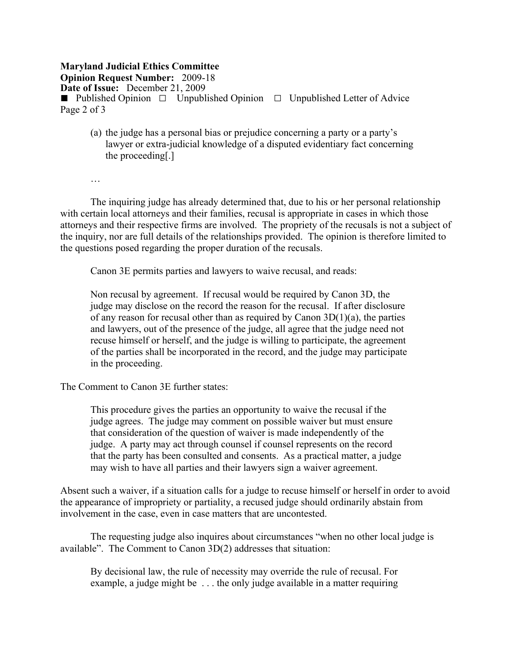## **Maryland Judicial Ethics Committee Opinion Request Number:** 2009-18 **Date of Issue:** December 21, 2009 **■** Published Opinion □Unpublished Opinion □Unpublished Letter of Advice Page 2 of 3

(a) the judge has a personal bias or prejudice concerning a party or a party's lawyer or extra-judicial knowledge of a disputed evidentiary fact concerning the proceeding[.]

…

The inquiring judge has already determined that, due to his or her personal relationship with certain local attorneys and their families, recusal is appropriate in cases in which those attorneys and their respective firms are involved. The propriety of the recusals is not a subject of the inquiry, nor are full details of the relationships provided. The opinion is therefore limited to the questions posed regarding the proper duration of the recusals.

Canon 3E permits parties and lawyers to waive recusal, and reads:

Non recusal by agreement. If recusal would be required by Canon 3D, the judge may disclose on the record the reason for the recusal. If after disclosure of any reason for recusal other than as required by Canon  $3D(1)(a)$ , the parties and lawyers, out of the presence of the judge, all agree that the judge need not recuse himself or herself, and the judge is willing to participate, the agreement of the parties shall be incorporated in the record, and the judge may participate in the proceeding.

The Comment to Canon 3E further states:

This procedure gives the parties an opportunity to waive the recusal if the judge agrees. The judge may comment on possible waiver but must ensure that consideration of the question of waiver is made independently of the judge. A party may act through counsel if counsel represents on the record that the party has been consulted and consents. As a practical matter, a judge may wish to have all parties and their lawyers sign a waiver agreement.

Absent such a waiver, if a situation calls for a judge to recuse himself or herself in order to avoid the appearance of impropriety or partiality, a recused judge should ordinarily abstain from involvement in the case, even in case matters that are uncontested.

The requesting judge also inquires about circumstances "when no other local judge is available". The Comment to Canon 3D(2) addresses that situation:

By decisional law, the rule of necessity may override the rule of recusal. For example, a judge might be . . . the only judge available in a matter requiring